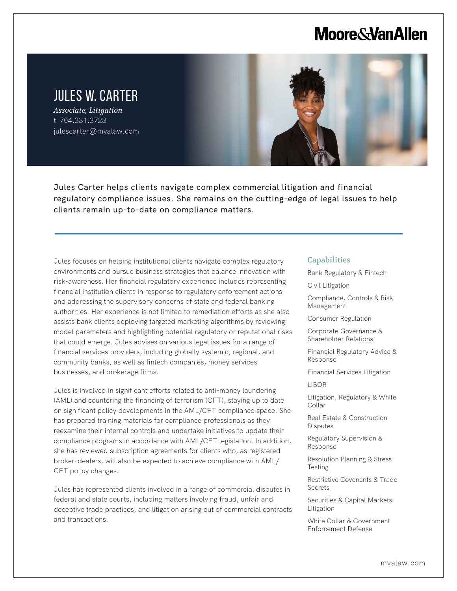# **Moore & Van Allen**

## JULES W. CARTER

*Associate, Litigation* t 704.331.3723 julescarter@mvalaw.com

L



Jules Carter helps clients navigate complex commercial litigation and financial regulatory compliance issues. She remains on the cutting-edge of legal issues to help clients remain up-to-date on compliance matters.

Jules focuses on helping institutional clients navigate complex regulatory environments and pursue business strategies that balance innovation with risk-awareness. Her financial regulatory experience includes representing financial institution clients in response to regulatory enforcement actions and addressing the supervisory concerns of state and federal banking authorities. Her experience is not limited to remediation efforts as she also assists bank clients deploying targeted marketing algorithms by reviewing model parameters and highlighting potential regulatory or reputational risks that could emerge. Jules advises on various legal issues for a range of financial services providers, including globally systemic, regional, and community banks, as well as fintech companies, money services businesses, and brokerage firms.

Jules is involved in significant efforts related to anti-money laundering (AML) and countering the financing of terrorism (CFT), staying up to date on significant policy developments in the AML/CFT compliance space. She has prepared training materials for compliance professionals as they reexamine their internal controls and undertake initiatives to update their compliance programs in accordance with AML/CFT legislation. In addition, she has reviewed subscription agreements for clients who, as registered broker-dealers, will also be expected to achieve compliance with AML/ CFT policy changes.

Jules has represented clients involved in a range of commercial disputes in federal and state courts, including matters involving fraud, unfair and deceptive trade practices, and litigation arising out of commercial contracts and transactions.

#### **Capabilities**

Bank Regulatory & Fintech

Civil Litigation

Compliance, Controls & Risk Management

Consumer Regulation

Corporate Governance & Shareholder Relations

Financial Regulatory Advice & Response

Financial Services Litigation

LIBOR

Litigation, Regulatory & White Collar

Real Estate & Construction Disputes

Regulatory Supervision & Response

Resolution Planning & Stress Testing

Restrictive Covenants & Trade Secrets

Securities & Capital Markets Litigation

White Collar & Government Enforcement Defense